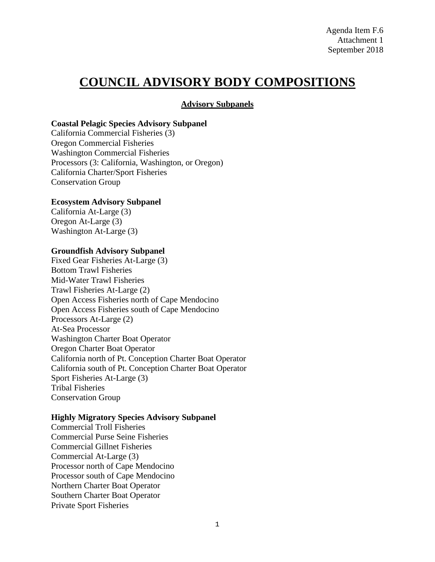# **COUNCIL ADVISORY BODY COMPOSITIONS**

**Advisory Subpanels**

# **Coastal Pelagic Species Advisory Subpanel**

California Commercial Fisheries (3) Oregon Commercial Fisheries Washington Commercial Fisheries Processors (3: California, Washington, or Oregon) California Charter/Sport Fisheries Conservation Group

#### **Ecosystem Advisory Subpanel**

California At-Large (3) Oregon At-Large (3) Washington At-Large (3)

## **Groundfish Advisory Subpanel**

Fixed Gear Fisheries At-Large (3) Bottom Trawl Fisheries Mid-Water Trawl Fisheries Trawl Fisheries At-Large (2) Open Access Fisheries north of Cape Mendocino Open Access Fisheries south of Cape Mendocino Processors At-Large (2) At-Sea Processor Washington Charter Boat Operator Oregon Charter Boat Operator California north of Pt. Conception Charter Boat Operator California south of Pt. Conception Charter Boat Operator Sport Fisheries At-Large (3) Tribal Fisheries Conservation Group

#### **Highly Migratory Species Advisory Subpanel**

Commercial Troll Fisheries Commercial Purse Seine Fisheries Commercial Gillnet Fisheries Commercial At-Large (3) Processor north of Cape Mendocino Processor south of Cape Mendocino Northern Charter Boat Operator Southern Charter Boat Operator Private Sport Fisheries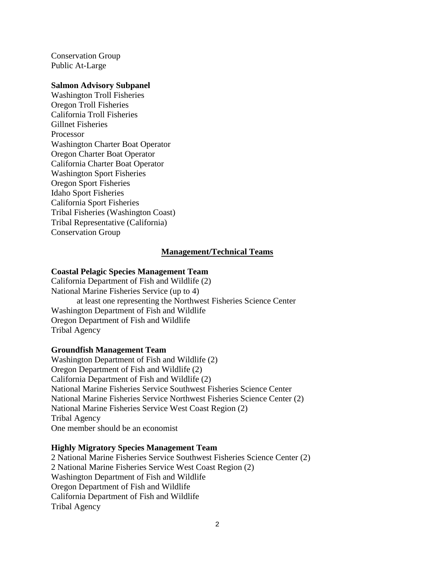Conservation Group Public At-Large

#### **Salmon Advisory Subpanel**

Washington Troll Fisheries Oregon Troll Fisheries California Troll Fisheries Gillnet Fisheries Processor Washington Charter Boat Operator Oregon Charter Boat Operator California Charter Boat Operator Washington Sport Fisheries Oregon Sport Fisheries Idaho Sport Fisheries California Sport Fisheries Tribal Fisheries (Washington Coast) Tribal Representative (California) Conservation Group

## **Management/Technical Teams**

### **Coastal Pelagic Species Management Team**

California Department of Fish and Wildlife (2) National Marine Fisheries Service (up to 4) at least one representing the Northwest Fisheries Science Center Washington Department of Fish and Wildlife Oregon Department of Fish and Wildlife Tribal Agency

#### **Groundfish Management Team**

Washington Department of Fish and Wildlife (2) Oregon Department of Fish and Wildlife (2) California Department of Fish and Wildlife (2) National Marine Fisheries Service Southwest Fisheries Science Center National Marine Fisheries Service Northwest Fisheries Science Center (2) National Marine Fisheries Service West Coast Region (2) Tribal Agency One member should be an economist

#### **Highly Migratory Species Management Team**

2 National Marine Fisheries Service Southwest Fisheries Science Center (2) 2 National Marine Fisheries Service West Coast Region (2) Washington Department of Fish and Wildlife Oregon Department of Fish and Wildlife California Department of Fish and Wildlife Tribal Agency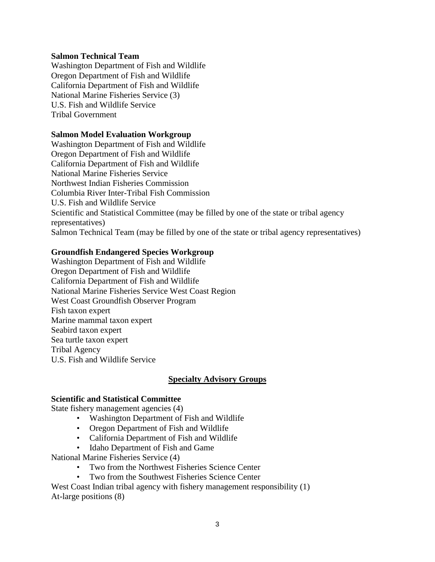#### **Salmon Technical Team**

Washington Department of Fish and Wildlife Oregon Department of Fish and Wildlife California Department of Fish and Wildlife National Marine Fisheries Service (3) U.S. Fish and Wildlife Service Tribal Government

# **Salmon Model Evaluation Workgroup**

Washington Department of Fish and Wildlife Oregon Department of Fish and Wildlife California Department of Fish and Wildlife National Marine Fisheries Service Northwest Indian Fisheries Commission Columbia River Inter-Tribal Fish Commission U.S. Fish and Wildlife Service Scientific and Statistical Committee (may be filled by one of the state or tribal agency representatives) Salmon Technical Team (may be filled by one of the state or tribal agency representatives)

# **Groundfish Endangered Species Workgroup**

Washington Department of Fish and Wildlife Oregon Department of Fish and Wildlife California Department of Fish and Wildlife National Marine Fisheries Service West Coast Region West Coast Groundfish Observer Program Fish taxon expert Marine mammal taxon expert Seabird taxon expert Sea turtle taxon expert Tribal Agency U.S. Fish and Wildlife Service

# **Specialty Advisory Groups**

## **Scientific and Statistical Committee**

State fishery management agencies (4)

- Washington Department of Fish and Wildlife
- Oregon Department of Fish and Wildlife
- California Department of Fish and Wildlife
- Idaho Department of Fish and Game

National Marine Fisheries Service (4)

- Two from the Northwest Fisheries Science Center
- Two from the Southwest Fisheries Science Center

West Coast Indian tribal agency with fishery management responsibility (1) At-large positions (8)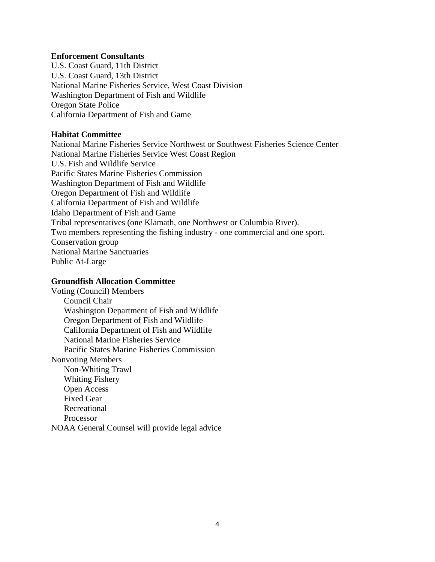### **Enforcement Consultants**

U.S. Coast Guard, 11th District U.S. Coast Guard, 13th District National Marine Fisheries Service, West Coast Division Washington Department of Fish and Wildlife Oregon State Police California Department of Fish and Game

### **Habitat Committee**

National Marine Fisheries Service Northwest or Southwest Fisheries Science Center National Marine Fisheries Service West Coast Region U.S. Fish and Wildlife Service Pacific States Marine Fisheries Commission Washington Department of Fish and Wildlife Oregon Department of Fish and Wildlife California Department of Fish and Wildlife Idaho Department of Fish and Game Tribal representatives (one Klamath, one Northwest or Columbia River). Two members representing the fishing industry - one commercial and one sport. Conservation group National Marine Sanctuaries Public At-Large

# **Groundfish Allocation Committee**

Voting (Council) Members Council Chair Washington Department of Fish and Wildlife Oregon Department of Fish and Wildlife California Department of Fish and Wildlife National Marine Fisheries Service Pacific States Marine Fisheries Commission Nonvoting Members Non-Whiting Trawl Whiting Fishery Open Access Fixed Gear Recreational Processor NOAA General Counsel will provide legal advice